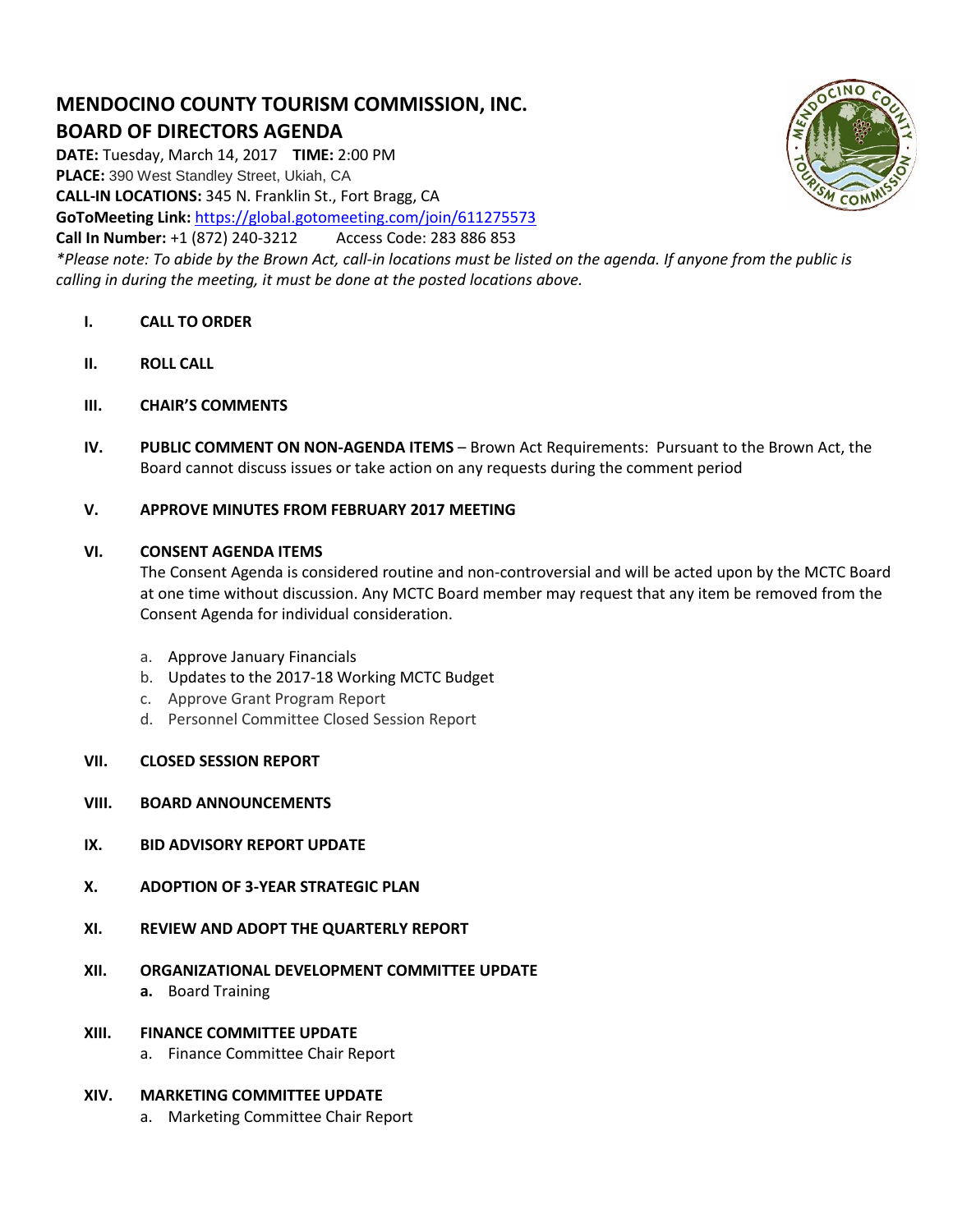# **MENDOCINO COUNTY TOURISM COMMISSION, INC. BOARD OF DIRECTORS AGENDA**

**DATE:** Tuesday, March 14, 2017 **TIME:** 2:00 PM **PLACE:** 390 West Standley Street, Ukiah, CA **CALL-IN LOCATIONS:** 345 N. Franklin St., Fort Bragg, CA **GoToMeeting Link:** <https://global.gotomeeting.com/join/611275573> **Call In Number:** +1 (872) 240-3212 Access Code: 283 886 853 *\*Please note: To abide by the Brown Act, call-in locations must be listed on the agenda. If anyone from the public is* 

*calling in during the meeting, it must be done at the posted locations above.*

## **I. CALL TO ORDER**

- **II. ROLL CALL**
- **III. CHAIR'S COMMENTS**
- **IV. PUBLIC COMMENT ON NON-AGENDA ITEMS** Brown Act Requirements: Pursuant to the Brown Act, the Board cannot discuss issues or take action on any requests during the comment period
- **V. APPROVE MINUTES FROM FEBRUARY 2017 MEETING**

## **VI. CONSENT AGENDA ITEMS**

The Consent Agenda is considered routine and non-controversial and will be acted upon by the MCTC Board at one time without discussion. Any MCTC Board member may request that any item be removed from the Consent Agenda for individual consideration.

- a. Approve January Financials
- b. Updates to the 2017-18 Working MCTC Budget
- c. Approve Grant Program Report
- d. Personnel Committee Closed Session Report
- **VII. CLOSED SESSION REPORT**
- **VIII. BOARD ANNOUNCEMENTS**
- **IX. BID ADVISORY REPORT UPDATE**
- **X. ADOPTION OF 3-YEAR STRATEGIC PLAN**
- **XI. REVIEW AND ADOPT THE QUARTERLY REPORT**
- **XII. ORGANIZATIONAL DEVELOPMENT COMMITTEE UPDATE a.** Board Training
- **XIII. FINANCE COMMITTEE UPDATE**
	- a. Finance Committee Chair Report

## **XIV. MARKETING COMMITTEE UPDATE**

a. Marketing Committee Chair Report